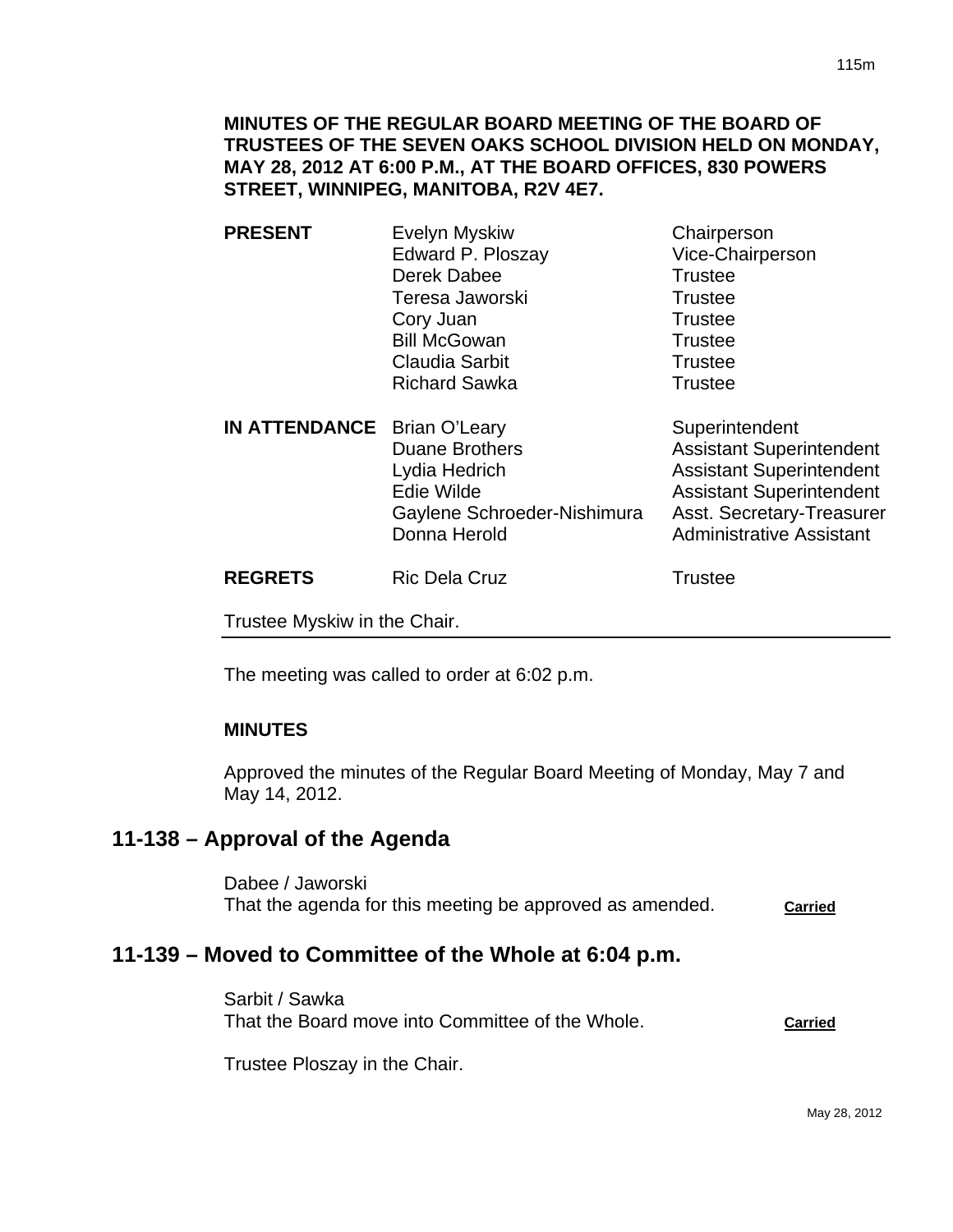**MINUTES OF THE REGULAR BOARD MEETING OF THE BOARD OF TRUSTEES OF THE SEVEN OAKS SCHOOL DIVISION HELD ON MONDAY, MAY 28, 2012 AT 6:00 P.M., AT THE BOARD OFFICES, 830 POWERS STREET, WINNIPEG, MANITOBA, R2V 4E7.** 

- **PRESENT** Evelyn Myskiw Chairperson Edward P. Ploszay Vice-Chairperson Derek Dabee Trustee Teresa Jaworski **Trustee** Cory Juan **Trustee** Bill McGowan Trustee Claudia Sarbit **Trustee** Richard Sawka Trustee **IN ATTENDANCE** Brian O'Leary Superintendent
	- Duane Brothers **Assistant Superintendent** Lydia Hedrich **Assistant Superintendent** Edie Wilde **Assistant Superintendent** Gaylene Schroeder-Nishimura Asst. Secretary-Treasurer Donna Herold **Administrative Assistant**

**REGRETS** Ric Dela Cruz **Ric Dela Cruz Ric Trustee** 

Trustee Myskiw in the Chair.

The meeting was called to order at 6:02 p.m.

### **MINUTES**

Approved the minutes of the Regular Board Meeting of Monday, May 7 and May 14, 2012.

# **11-138 – Approval of the Agenda**

Dabee / Jaworski That the agenda for this meeting be approved as amended. **Carried**

# **11-139 – Moved to Committee of the Whole at 6:04 p.m.**

Sarbit / Sawka That the Board move into Committee of the Whole. **Carried**

Trustee Ploszay in the Chair.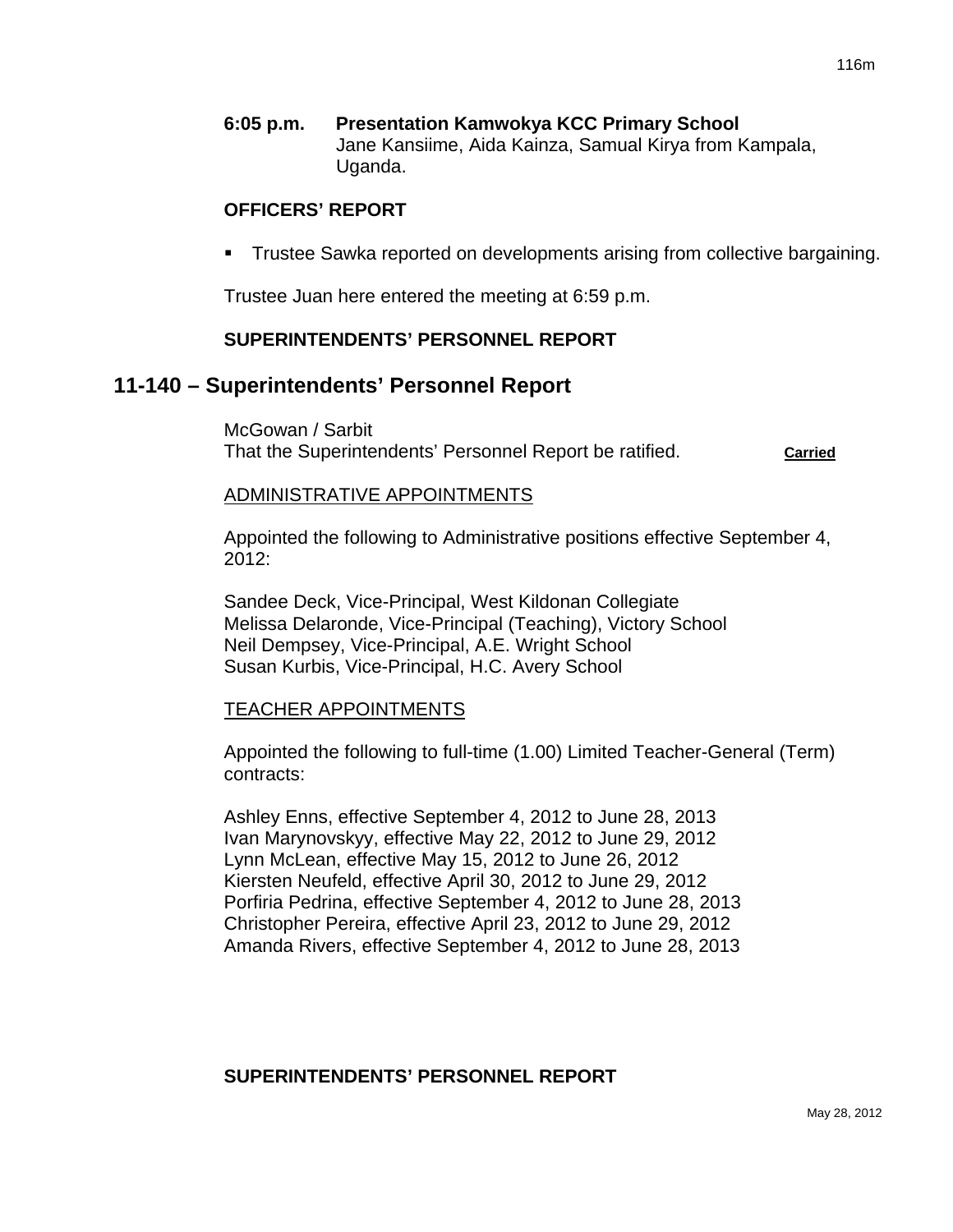**6:05 p.m. Presentation Kamwokya KCC Primary School** Jane Kansiime, Aida Kainza, Samual Kirya from Kampala, Uganda.

### **OFFICERS' REPORT**

Trustee Sawka reported on developments arising from collective bargaining.

Trustee Juan here entered the meeting at 6:59 p.m.

### **SUPERINTENDENTS' PERSONNEL REPORT**

# **11-140 – Superintendents' Personnel Report**

McGowan / Sarbit That the Superintendents' Personnel Report be ratified. **Carried**

#### ADMINISTRATIVE APPOINTMENTS

Appointed the following to Administrative positions effective September 4,  $2012$ 

Sandee Deck, Vice-Principal, West Kildonan Collegiate Melissa Delaronde, Vice-Principal (Teaching), Victory School Neil Dempsey, Vice-Principal, A.E. Wright School Susan Kurbis, Vice-Principal, H.C. Avery School

#### TEACHER APPOINTMENTS

Appointed the following to full-time (1.00) Limited Teacher-General (Term) contracts:

Ashley Enns, effective September 4, 2012 to June 28, 2013 Ivan Marynovskyy, effective May 22, 2012 to June 29, 2012 Lynn McLean, effective May 15, 2012 to June 26, 2012 Kiersten Neufeld, effective April 30, 2012 to June 29, 2012 Porfiria Pedrina, effective September 4, 2012 to June 28, 2013 Christopher Pereira, effective April 23, 2012 to June 29, 2012 Amanda Rivers, effective September 4, 2012 to June 28, 2013

### **SUPERINTENDENTS' PERSONNEL REPORT**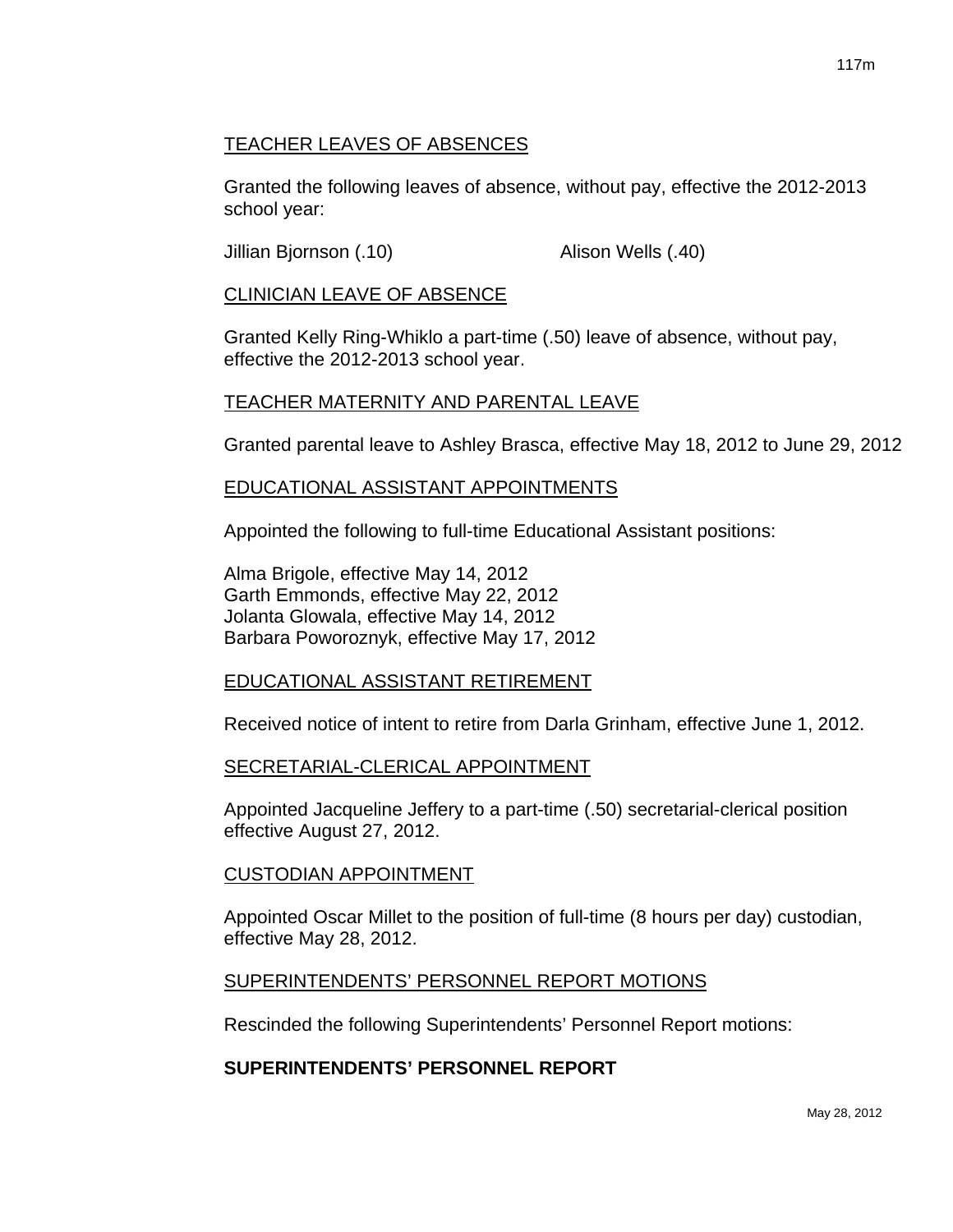# TEACHER LEAVES OF ABSENCES

Granted the following leaves of absence, without pay, effective the 2012-2013 school year:

Jillian Bjornson (.10) Alison Wells (.40)

## CLINICIAN LEAVE OF ABSENCE

Granted Kelly Ring-Whiklo a part-time (.50) leave of absence, without pay, effective the 2012-2013 school year.

### TEACHER MATERNITY AND PARENTAL LEAVE

Granted parental leave to Ashley Brasca, effective May 18, 2012 to June 29, 2012

### EDUCATIONAL ASSISTANT APPOINTMENTS

Appointed the following to full-time Educational Assistant positions:

Alma Brigole, effective May 14, 2012 Garth Emmonds, effective May 22, 2012 Jolanta Glowala, effective May 14, 2012 Barbara Poworoznyk, effective May 17, 2012

### EDUCATIONAL ASSISTANT RETIREMENT

Received notice of intent to retire from Darla Grinham, effective June 1, 2012.

### SECRETARIAL-CLERICAL APPOINTMENT

Appointed Jacqueline Jeffery to a part-time (.50) secretarial-clerical position effective August 27, 2012.

#### CUSTODIAN APPOINTMENT

Appointed Oscar Millet to the position of full-time (8 hours per day) custodian, effective May 28, 2012.

### SUPERINTENDENTS' PERSONNEL REPORT MOTIONS

Rescinded the following Superintendents' Personnel Report motions:

# **SUPERINTENDENTS' PERSONNEL REPORT**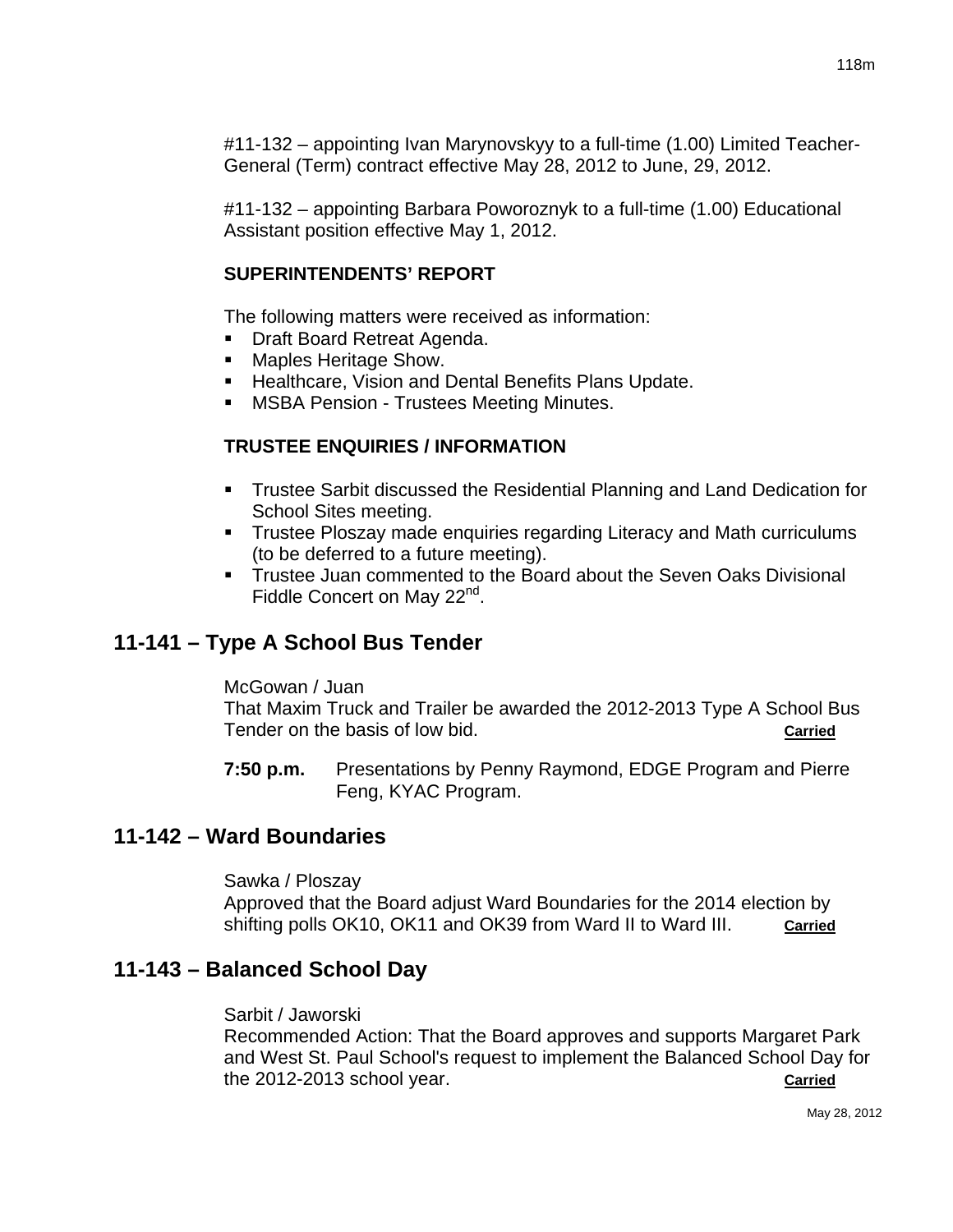#11-132 – appointing Ivan Marynovskyy to a full-time (1.00) Limited Teacher-General (Term) contract effective May 28, 2012 to June, 29, 2012.

#11-132 – appointing Barbara Poworoznyk to a full-time (1.00) Educational Assistant position effective May 1, 2012.

# **SUPERINTENDENTS' REPORT**

The following matters were received as information:

- Draft Board Retreat Agenda.
- **Maples Heritage Show.**
- **Healthcare, Vision and Dental Benefits Plans Update.**
- MSBA Pension Trustees Meeting Minutes.

# **TRUSTEE ENQUIRIES / INFORMATION**

- Trustee Sarbit discussed the Residential Planning and Land Dedication for School Sites meeting.
- **Trustee Ploszay made enquiries regarding Literacy and Math curriculums** (to be deferred to a future meeting).
- **Trustee Juan commented to the Board about the Seven Oaks Divisional** Fiddle Concert on May 22<sup>nd</sup>.

# **11-141 – Type A School Bus Tender**

McGowan / Juan

That Maxim Truck and Trailer be awarded the 2012-2013 Type A School Bus Tender on the basis of low bid. **Carried**

**7:50 p.m.** Presentations by Penny Raymond, EDGE Program and Pierre Feng, KYAC Program.

# **11-142 – Ward Boundaries**

Sawka / Ploszay Approved that the Board adjust Ward Boundaries for the 2014 election by shifting polls OK10, OK11 and OK39 from Ward II to Ward III. **Carried**

# **11-143 – Balanced School Day**

Sarbit / Jaworski

Recommended Action: That the Board approves and supports Margaret Park and West St. Paul School's request to implement the Balanced School Day for the 2012-2013 school year. **Carried**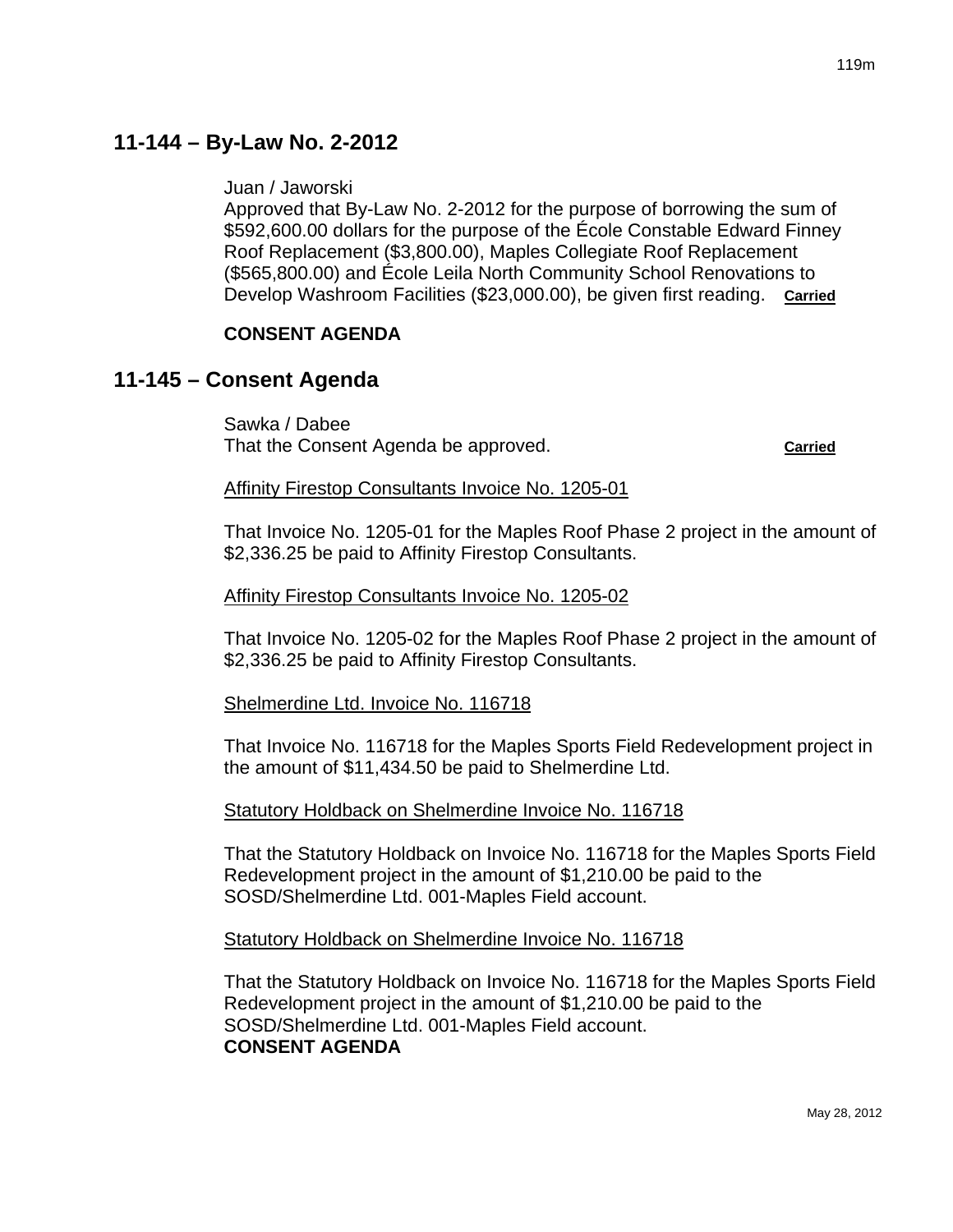# **11-144 – By-Law No. 2-2012**

Juan / Jaworski

Approved that By-Law No. 2-2012 for the purpose of borrowing the sum of \$592,600.00 dollars for the purpose of the École Constable Edward Finney Roof Replacement (\$3,800.00), Maples Collegiate Roof Replacement (\$565,800.00) and École Leila North Community School Renovations to Develop Washroom Facilities (\$23,000.00), be given first reading. **Carried**

## **CONSENT AGENDA**

# **11-145 – Consent Agenda**

Sawka / Dabee That the Consent Agenda be approved. **Carried**

#### Affinity Firestop Consultants Invoice No. 1205-01

That Invoice No. 1205-01 for the Maples Roof Phase 2 project in the amount of \$2,336.25 be paid to Affinity Firestop Consultants.

#### Affinity Firestop Consultants Invoice No. 1205-02

That Invoice No. 1205-02 for the Maples Roof Phase 2 project in the amount of \$2,336.25 be paid to Affinity Firestop Consultants.

#### Shelmerdine Ltd. Invoice No. 116718

That Invoice No. 116718 for the Maples Sports Field Redevelopment project in the amount of \$11,434.50 be paid to Shelmerdine Ltd.

#### Statutory Holdback on Shelmerdine Invoice No. 116718

That the Statutory Holdback on Invoice No. 116718 for the Maples Sports Field Redevelopment project in the amount of \$1,210.00 be paid to the SOSD/Shelmerdine Ltd. 001-Maples Field account.

#### Statutory Holdback on Shelmerdine Invoice No. 116718

That the Statutory Holdback on Invoice No. 116718 for the Maples Sports Field Redevelopment project in the amount of \$1,210.00 be paid to the SOSD/Shelmerdine Ltd. 001-Maples Field account. **CONSENT AGENDA**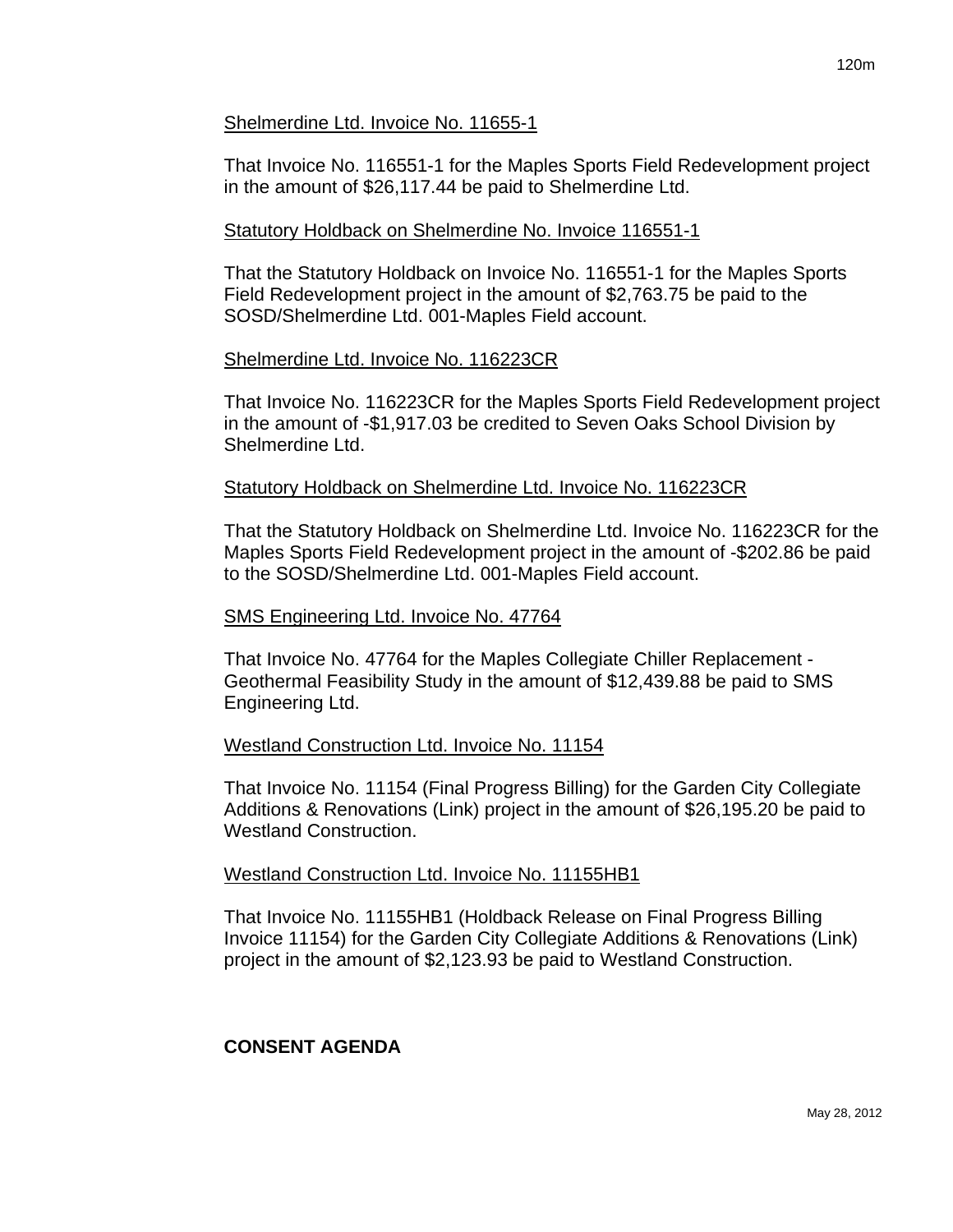### Shelmerdine Ltd. Invoice No. 11655-1

That Invoice No. 116551-1 for the Maples Sports Field Redevelopment project in the amount of \$26,117.44 be paid to Shelmerdine Ltd.

#### Statutory Holdback on Shelmerdine No. Invoice 116551-1

That the Statutory Holdback on Invoice No. 116551-1 for the Maples Sports Field Redevelopment project in the amount of \$2,763.75 be paid to the SOSD/Shelmerdine Ltd. 001-Maples Field account.

#### Shelmerdine Ltd. Invoice No. 116223CR

That Invoice No. 116223CR for the Maples Sports Field Redevelopment project in the amount of -\$1,917.03 be credited to Seven Oaks School Division by Shelmerdine Ltd.

#### Statutory Holdback on Shelmerdine Ltd. Invoice No. 116223CR

That the Statutory Holdback on Shelmerdine Ltd. Invoice No. 116223CR for the Maples Sports Field Redevelopment project in the amount of -\$202.86 be paid to the SOSD/Shelmerdine Ltd. 001-Maples Field account.

#### SMS Engineering Ltd. Invoice No. 47764

That Invoice No. 47764 for the Maples Collegiate Chiller Replacement - Geothermal Feasibility Study in the amount of \$12,439.88 be paid to SMS Engineering Ltd.

#### Westland Construction Ltd. Invoice No. 11154

That Invoice No. 11154 (Final Progress Billing) for the Garden City Collegiate Additions & Renovations (Link) project in the amount of \$26,195.20 be paid to Westland Construction.

#### Westland Construction Ltd. Invoice No. 11155HB1

That Invoice No. 11155HB1 (Holdback Release on Final Progress Billing Invoice 11154) for the Garden City Collegiate Additions & Renovations (Link) project in the amount of \$2,123.93 be paid to Westland Construction.

### **CONSENT AGENDA**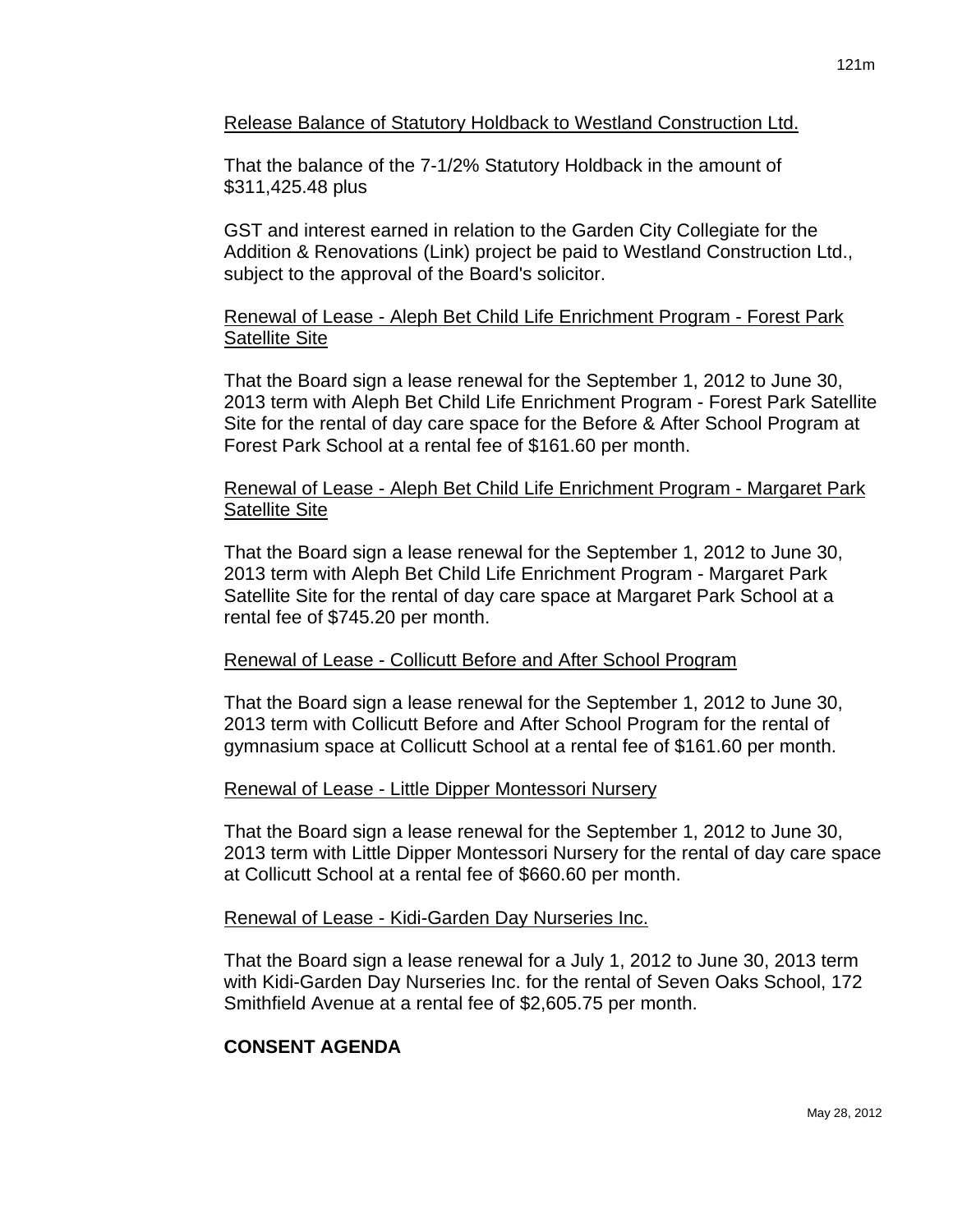Release Balance of Statutory Holdback to Westland Construction Ltd.

That the balance of the 7-1/2% Statutory Holdback in the amount of \$311,425.48 plus

GST and interest earned in relation to the Garden City Collegiate for the Addition & Renovations (Link) project be paid to Westland Construction Ltd., subject to the approval of the Board's solicitor.

# Renewal of Lease - Aleph Bet Child Life Enrichment Program - Forest Park Satellite Site

That the Board sign a lease renewal for the September 1, 2012 to June 30, 2013 term with Aleph Bet Child Life Enrichment Program - Forest Park Satellite Site for the rental of day care space for the Before & After School Program at Forest Park School at a rental fee of \$161.60 per month.

### Renewal of Lease - Aleph Bet Child Life Enrichment Program - Margaret Park Satellite Site

That the Board sign a lease renewal for the September 1, 2012 to June 30, 2013 term with Aleph Bet Child Life Enrichment Program - Margaret Park Satellite Site for the rental of day care space at Margaret Park School at a rental fee of \$745.20 per month.

# Renewal of Lease - Collicutt Before and After School Program

That the Board sign a lease renewal for the September 1, 2012 to June 30, 2013 term with Collicutt Before and After School Program for the rental of gymnasium space at Collicutt School at a rental fee of \$161.60 per month.

# Renewal of Lease - Little Dipper Montessori Nursery

That the Board sign a lease renewal for the September 1, 2012 to June 30, 2013 term with Little Dipper Montessori Nursery for the rental of day care space at Collicutt School at a rental fee of \$660.60 per month.

### Renewal of Lease - Kidi-Garden Day Nurseries Inc.

That the Board sign a lease renewal for a July 1, 2012 to June 30, 2013 term with Kidi-Garden Day Nurseries Inc. for the rental of Seven Oaks School, 172 Smithfield Avenue at a rental fee of \$2,605.75 per month.

# **CONSENT AGENDA**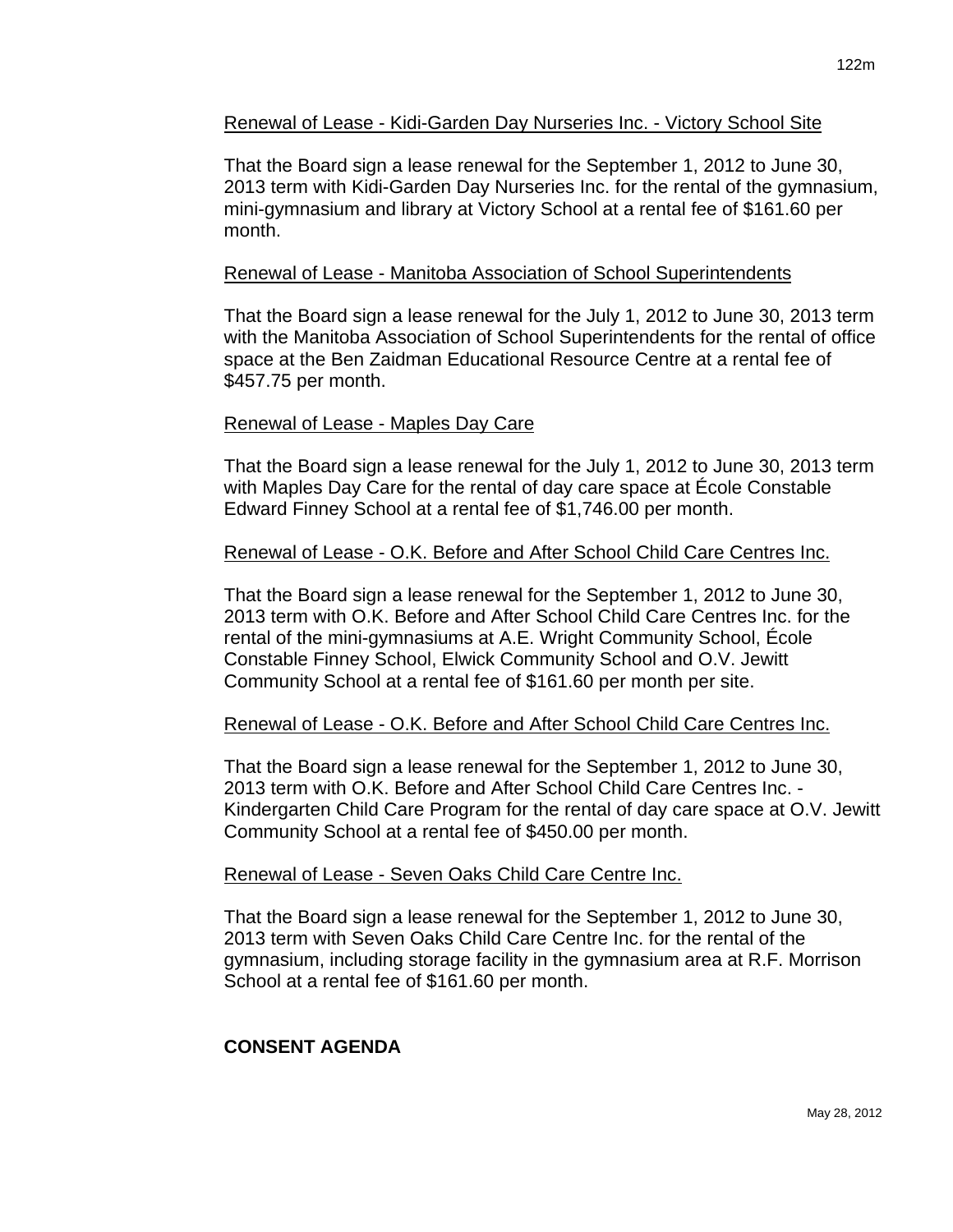### Renewal of Lease - Kidi-Garden Day Nurseries Inc. - Victory School Site

That the Board sign a lease renewal for the September 1, 2012 to June 30, 2013 term with Kidi-Garden Day Nurseries Inc. for the rental of the gymnasium, mini-gymnasium and library at Victory School at a rental fee of \$161.60 per month.

#### Renewal of Lease - Manitoba Association of School Superintendents

That the Board sign a lease renewal for the July 1, 2012 to June 30, 2013 term with the Manitoba Association of School Superintendents for the rental of office space at the Ben Zaidman Educational Resource Centre at a rental fee of \$457.75 per month.

#### Renewal of Lease - Maples Day Care

That the Board sign a lease renewal for the July 1, 2012 to June 30, 2013 term with Maples Day Care for the rental of day care space at École Constable Edward Finney School at a rental fee of \$1,746.00 per month.

#### Renewal of Lease - O.K. Before and After School Child Care Centres Inc.

That the Board sign a lease renewal for the September 1, 2012 to June 30, 2013 term with O.K. Before and After School Child Care Centres Inc. for the rental of the mini-gymnasiums at A.E. Wright Community School, École Constable Finney School, Elwick Community School and O.V. Jewitt Community School at a rental fee of \$161.60 per month per site.

#### Renewal of Lease - O.K. Before and After School Child Care Centres Inc.

That the Board sign a lease renewal for the September 1, 2012 to June 30, 2013 term with O.K. Before and After School Child Care Centres Inc. - Kindergarten Child Care Program for the rental of day care space at O.V. Jewitt Community School at a rental fee of \$450.00 per month.

#### Renewal of Lease - Seven Oaks Child Care Centre Inc.

That the Board sign a lease renewal for the September 1, 2012 to June 30, 2013 term with Seven Oaks Child Care Centre Inc. for the rental of the gymnasium, including storage facility in the gymnasium area at R.F. Morrison School at a rental fee of \$161.60 per month.

# **CONSENT AGENDA**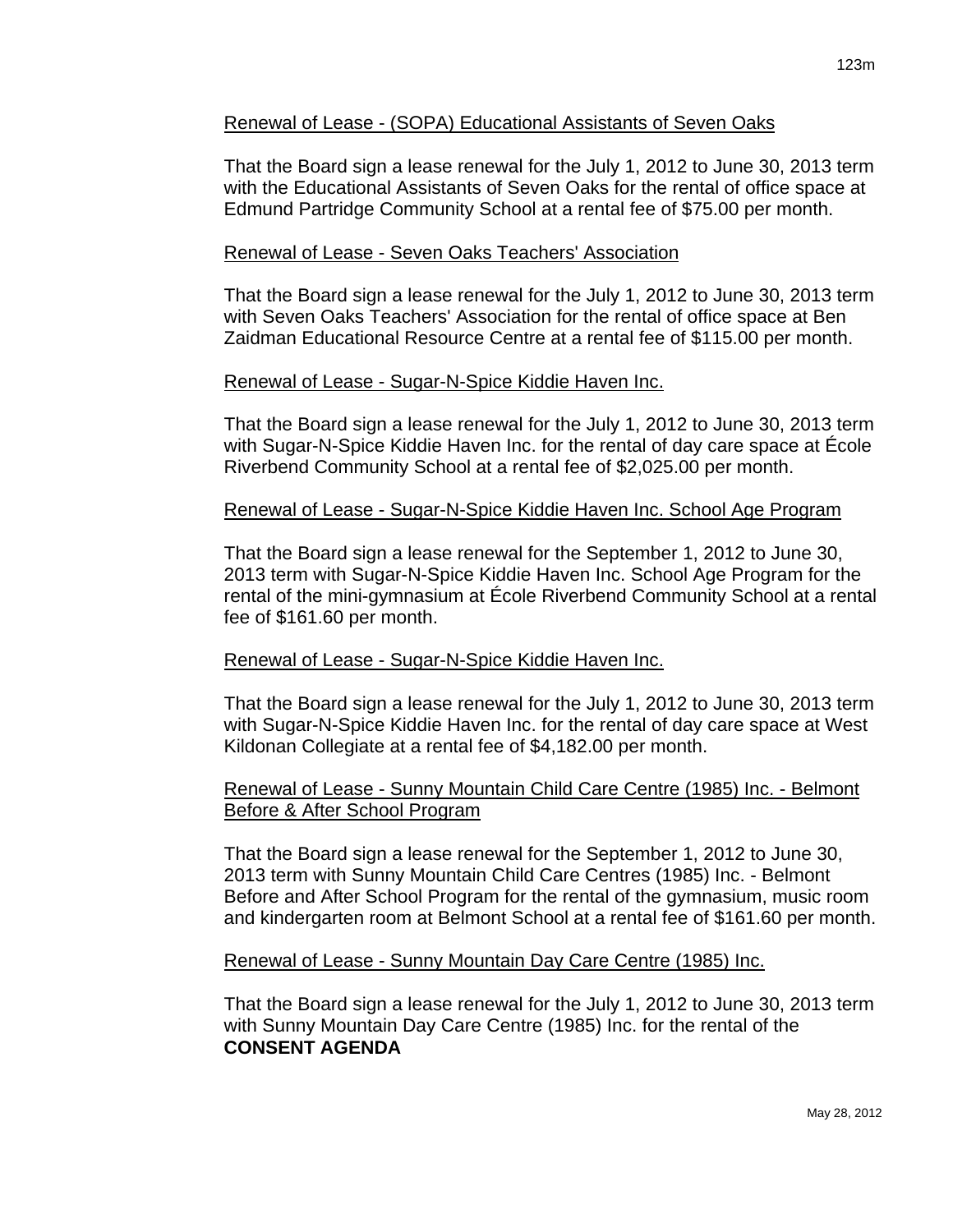## Renewal of Lease - (SOPA) Educational Assistants of Seven Oaks

That the Board sign a lease renewal for the July 1, 2012 to June 30, 2013 term with the Educational Assistants of Seven Oaks for the rental of office space at Edmund Partridge Community School at a rental fee of \$75.00 per month.

## Renewal of Lease - Seven Oaks Teachers' Association

That the Board sign a lease renewal for the July 1, 2012 to June 30, 2013 term with Seven Oaks Teachers' Association for the rental of office space at Ben Zaidman Educational Resource Centre at a rental fee of \$115.00 per month.

## Renewal of Lease - Sugar-N-Spice Kiddie Haven Inc.

That the Board sign a lease renewal for the July 1, 2012 to June 30, 2013 term with Sugar-N-Spice Kiddie Haven Inc. for the rental of day care space at École Riverbend Community School at a rental fee of \$2,025.00 per month.

## Renewal of Lease - Sugar-N-Spice Kiddie Haven Inc. School Age Program

That the Board sign a lease renewal for the September 1, 2012 to June 30, 2013 term with Sugar-N-Spice Kiddie Haven Inc. School Age Program for the rental of the mini-gymnasium at École Riverbend Community School at a rental fee of \$161.60 per month.

# Renewal of Lease - Sugar-N-Spice Kiddie Haven Inc.

That the Board sign a lease renewal for the July 1, 2012 to June 30, 2013 term with Sugar-N-Spice Kiddie Haven Inc. for the rental of day care space at West Kildonan Collegiate at a rental fee of \$4,182.00 per month.

### Renewal of Lease - Sunny Mountain Child Care Centre (1985) Inc. - Belmont Before & After School Program

That the Board sign a lease renewal for the September 1, 2012 to June 30, 2013 term with Sunny Mountain Child Care Centres (1985) Inc. - Belmont Before and After School Program for the rental of the gymnasium, music room and kindergarten room at Belmont School at a rental fee of \$161.60 per month.

### Renewal of Lease - Sunny Mountain Day Care Centre (1985) Inc.

That the Board sign a lease renewal for the July 1, 2012 to June 30, 2013 term with Sunny Mountain Day Care Centre (1985) Inc. for the rental of the **CONSENT AGENDA**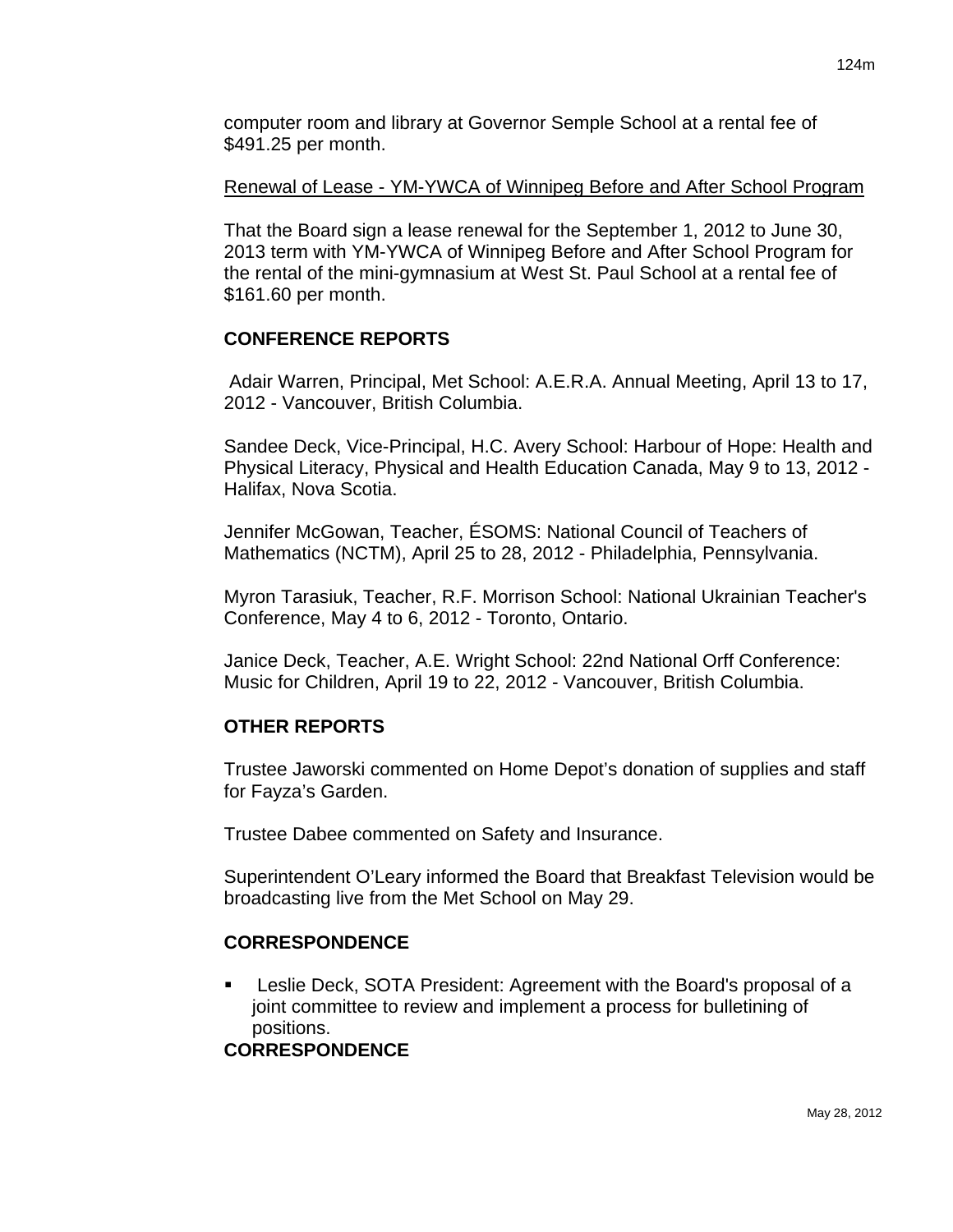# Renewal of Lease - YM-YWCA of Winnipeg Before and After School Program

That the Board sign a lease renewal for the September 1, 2012 to June 30, 2013 term with YM-YWCA of Winnipeg Before and After School Program for the rental of the mini-gymnasium at West St. Paul School at a rental fee of \$161.60 per month.

# **CONFERENCE REPORTS**

 Adair Warren, Principal, Met School: A.E.R.A. Annual Meeting, April 13 to 17, 2012 - Vancouver, British Columbia.

Sandee Deck, Vice-Principal, H.C. Avery School: Harbour of Hope: Health and Physical Literacy, Physical and Health Education Canada, May 9 to 13, 2012 - Halifax, Nova Scotia.

Jennifer McGowan, Teacher, ÉSOMS: National Council of Teachers of Mathematics (NCTM), April 25 to 28, 2012 - Philadelphia, Pennsylvania.

Myron Tarasiuk, Teacher, R.F. Morrison School: National Ukrainian Teacher's Conference, May 4 to 6, 2012 - Toronto, Ontario.

Janice Deck, Teacher, A.E. Wright School: 22nd National Orff Conference: Music for Children, April 19 to 22, 2012 - Vancouver, British Columbia.

# **OTHER REPORTS**

Trustee Jaworski commented on Home Depot's donation of supplies and staff for Fayza's Garden.

Trustee Dabee commented on Safety and Insurance.

Superintendent O'Leary informed the Board that Breakfast Television would be broadcasting live from the Met School on May 29.

# **CORRESPONDENCE**

 Leslie Deck, SOTA President: Agreement with the Board's proposal of a joint committee to review and implement a process for bulletining of positions.

# **CORRESPONDENCE**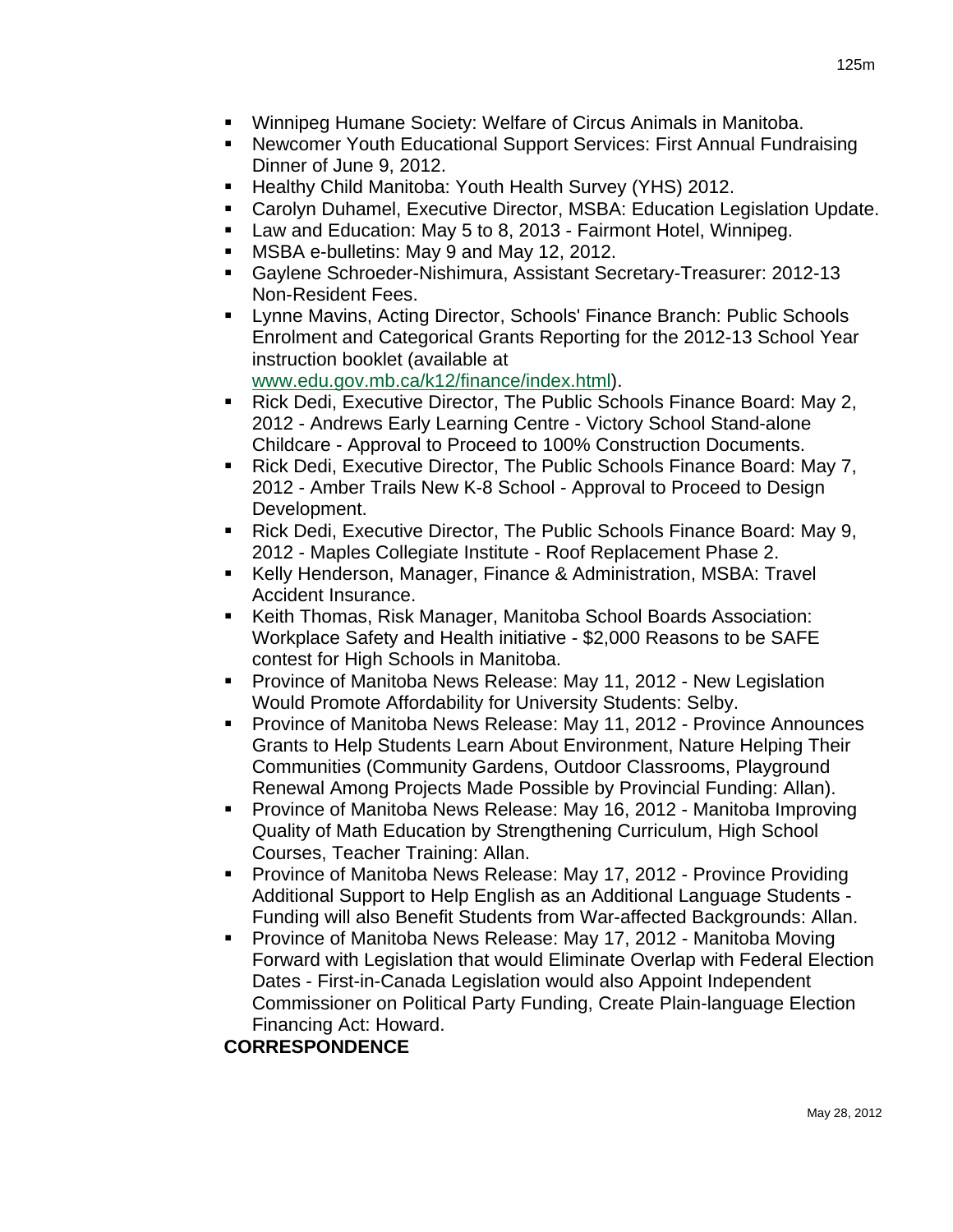- Winnipeg Humane Society: Welfare of Circus Animals in Manitoba.
- Newcomer Youth Educational Support Services: First Annual Fundraising Dinner of June 9, 2012.
- **Healthy Child Manitoba: Youth Health Survey (YHS) 2012.**
- Carolyn Duhamel, Executive Director, MSBA: Education Legislation Update.
- Law and Education: May 5 to 8, 2013 Fairmont Hotel, Winnipeg.
- MSBA e-bulletins: May 9 and May 12, 2012.
- Gaylene Schroeder-Nishimura, Assistant Secretary-Treasurer: 2012-13 Non-Resident Fees.
- **EXECT Arror Mavins, Acting Director, Schools' Finance Branch: Public Schools** Enrolment and Categorical Grants Reporting for the 2012-13 School Year instruction booklet (available at [www.edu.gov.mb.ca/k12/finance/index.html\)](http://www.edu.gov.mb.ca/k12/finance/index.html).
- Rick Dedi, Executive Director, The Public Schools Finance Board: May 2, 2012 - Andrews Early Learning Centre - Victory School Stand-alone Childcare - Approval to Proceed to 100% Construction Documents.
- Rick Dedi, Executive Director, The Public Schools Finance Board: May 7, 2012 - Amber Trails New K-8 School - Approval to Proceed to Design Development.
- Rick Dedi, Executive Director, The Public Schools Finance Board: May 9, 2012 - Maples Collegiate Institute - Roof Replacement Phase 2.
- Kelly Henderson, Manager, Finance & Administration, MSBA: Travel Accident Insurance.
- Keith Thomas, Risk Manager, Manitoba School Boards Association: Workplace Safety and Health initiative - \$2,000 Reasons to be SAFE contest for High Schools in Manitoba.
- **Province of Manitoba News Release: May 11, 2012 New Legislation** Would Promote Affordability for University Students: Selby.
- Province of Manitoba News Release: May 11, 2012 Province Announces Grants to Help Students Learn About Environment, Nature Helping Their Communities (Community Gardens, Outdoor Classrooms, Playground Renewal Among Projects Made Possible by Provincial Funding: Allan).
- Province of Manitoba News Release: May 16, 2012 Manitoba Improving Quality of Math Education by Strengthening Curriculum, High School Courses, Teacher Training: Allan.
- Province of Manitoba News Release: May 17, 2012 Province Providing Additional Support to Help English as an Additional Language Students - Funding will also Benefit Students from War-affected Backgrounds: Allan.
- Province of Manitoba News Release: May 17, 2012 Manitoba Moving Forward with Legislation that would Eliminate Overlap with Federal Election Dates - First-in-Canada Legislation would also Appoint Independent Commissioner on Political Party Funding, Create Plain-language Election Financing Act: Howard.

# **CORRESPONDENCE**